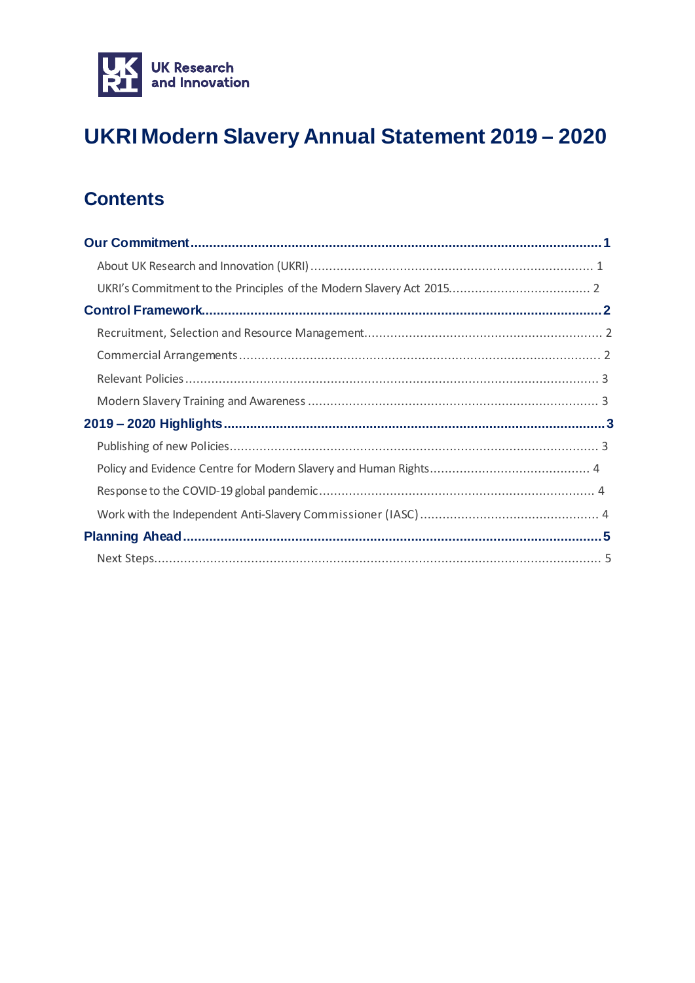

## UKRI Modern Slavery Annual Statement 2019 - 2020

### **Contents**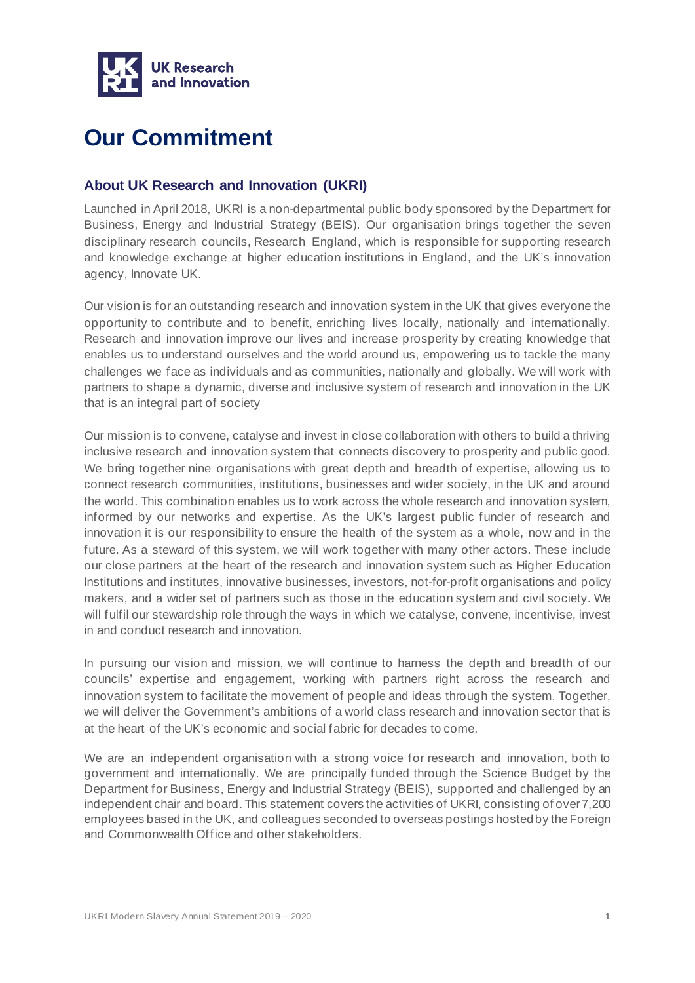

## <span id="page-1-0"></span>**Our Commitment**

#### <span id="page-1-1"></span>**About UK Research and Innovation (UKRI)**

Launched in April 2018, UKRI is a non-departmental public body sponsored by the Department for Business, Energy and Industrial Strategy (BEIS). Our organisation brings together the seven disciplinary research councils, Research England, which is responsible for supporting research and knowledge exchange at higher education institutions in England, and the UK's innovation agency, Innovate UK.

Our vision is for an outstanding research and innovation system in the UK that gives everyone the opportunity to contribute and to benefit, enriching lives locally, nationally and internationally. Research and innovation improve our lives and increase prosperity by creating knowledge that enables us to understand ourselves and the world around us, empowering us to tackle the many challenges we face as individuals and as communities, nationally and globally. We will work with partners to shape a dynamic, diverse and inclusive system of research and innovation in the UK that is an integral part of society

Our mission is to convene, catalyse and invest in close collaboration with others to build a thriving inclusive research and innovation system that connects discovery to prosperity and public good. We bring together nine organisations with great depth and breadth of expertise, allowing us to connect research communities, institutions, businesses and wider society, in the UK and around the world. This combination enables us to work across the whole research and innovation system, informed by our networks and expertise. As the UK's largest public funder of research and innovation it is our responsibility to ensure the health of the system as a whole, now and in the future. As a steward of this system, we will work together with many other actors. These include our close partners at the heart of the research and innovation system such as Higher Education Institutions and institutes, innovative businesses, investors, not-for-profit organisations and policy makers, and a wider set of partners such as those in the education system and civil society. We will fulfil our stewardship role through the ways in which we catalyse, convene, incentivise, invest in and conduct research and innovation.

In pursuing our vision and mission, we will continue to harness the depth and breadth of our councils' expertise and engagement, working with partners right across the research and innovation system to facilitate the movement of people and ideas through the system. Together, we will deliver the Government's ambitions of a world class research and innovation sector that is at the heart of the UK's economic and social fabric for decades to come.

We are an independent organisation with a strong voice for research and innovation, both to government and internationally. We are principally funded through the Science Budget by the Department for Business, Energy and Industrial Strategy (BEIS), supported and challenged by an independent chair and board. This statement covers the activities of UKRI, consisting of over 7,200 employees based in the UK, and colleagues seconded to overseas postings hosted by the Foreign and Commonwealth Office and other stakeholders.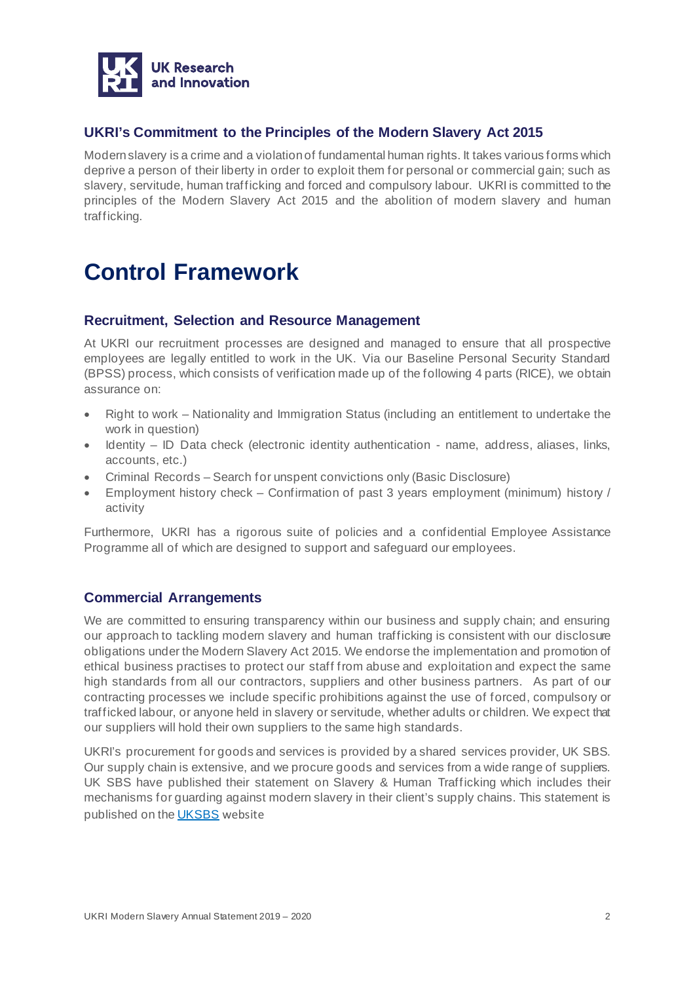

#### <span id="page-2-0"></span>**UKRI's Commitment to the Principles of the Modern Slavery Act 2015**

Modern slavery is a crime and a violation of fundamental human rights. It takes various forms which deprive a person of their liberty in order to exploit them for personal or commercial gain; such as slavery, servitude, human trafficking and forced and compulsory labour. UKRI is committed to the principles of the Modern Slavery Act 2015 and the abolition of modern slavery and human trafficking.

## <span id="page-2-1"></span>**Control Framework**

#### <span id="page-2-2"></span>**Recruitment, Selection and Resource Management**

At UKRI our recruitment processes are designed and managed to ensure that all prospective employees are legally entitled to work in the UK. Via our Baseline Personal Security Standard (BPSS) process, which consists of verification made up of the following 4 parts (RICE), we obtain assurance on:

- Right to work Nationality and Immigration Status (including an entitlement to undertake the work in question)
- Identity ID Data check (electronic identity authentication name, address, aliases, links, accounts, etc.)
- Criminal Records Search for unspent convictions only (Basic Disclosure)
- Employment history check Confirmation of past 3 years employment (minimum) history / activity

Furthermore, UKRI has a rigorous suite of policies and a confidential Employee Assistance Programme all of which are designed to support and safeguard our employees.

#### <span id="page-2-3"></span>**Commercial Arrangements**

We are committed to ensuring transparency within our business and supply chain; and ensuring our approach to tackling modern slavery and human trafficking is consistent with our disclosure obligations under the Modern Slavery Act 2015. We endorse the implementation and promotion of ethical business practises to protect our staff from abuse and exploitation and expect the same high standards from all our contractors, suppliers and other business partners. As part of our contracting processes we include specific prohibitions against the use of forced, compulsory or trafficked labour, or anyone held in slavery or servitude, whether adults or children. We expect that our suppliers will hold their own suppliers to the same high standards.

UKRI's procurement for goods and services is provided by a shared services provider, UK SBS. Our supply chain is extensive, and we procure goods and services from a wide range of suppliers. UK SBS have published their statement on Slavery & Human Trafficking which includes their mechanisms for guarding against modern slavery in their client's supply chains. This statement is published on the [UKSBS](http://www.uksbs.co.uk/use/Documents/UK%20SBS%20Slavery%20and%20Human%20Trafficking%20Statement.pdf) website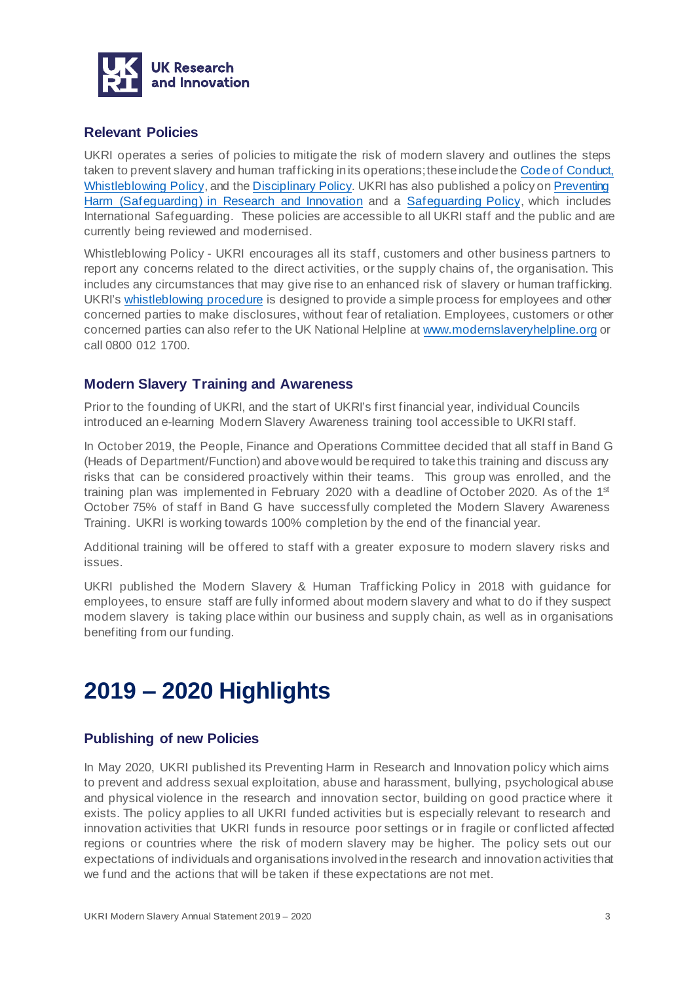

#### <span id="page-3-0"></span>**Relevant Policies**

UKRI operates a series of policies to mitigate the risk of modern slavery and outlines the steps taken to prevent slavery and human trafficking in its operations; these include the [Code of Conduct,](https://www.ukri.org/files/termsconditions/rcukukriterms/code-of-conduct-pdf/) [Whistleblowing Policy](https://www.ukri.org/files/termsconditions/ukri-whistleblowing-freedom-to-speak-up-pdf/), and t[he Disciplinary Policy.](https://www.ukri.org/files/termsconditions/rcukukriterms/disciplinary-pdf/) UKRI has also published a policy o[n Preventing](https://www.ukri.org/about-us/policies-and-standards/preventing-harm-safeguarding-in-research-and-innovation/) [Harm \(Safeguarding\)](https://www.ukri.org/about-us/policies-and-standards/preventing-harm-safeguarding-in-research-and-innovation/) in Research and Innovation and a [Safeguarding Policy,](https://www.ukri.org/files/termsconditions/ukri-safeguarding-policy-pdf/) which includes International Safeguarding. These policies are accessible to all UKRI staff and the public and are currently being reviewed and modernised.

Whistleblowing Policy - UKRI encourages all its staff, customers and other business partners to report any concerns related to the direct activities, or the supply chains of, the organisation. This includes any circumstances that may give rise to an enhanced risk of slavery or human trafficking. UKRI's [whistleblowing procedure](https://www.ukri.org/about-us/policies-and-standards/whistleblowing-policy/) is designed to provide a simple process for employees and other concerned parties to make disclosures, without fear of retaliation. Employees, customers or other concerned parties can also refer to the UK National Helpline at [www.modernslaveryhelpline.org](https://ukri.sharepoint.com/sites/og_strategy2/Shared%20Documents/Governance/Policies%20-%20restricted/Modern%20Slavery/Annual%20Statement%20FY%202019-20/www.modernslaveryhelpline.org) or call 0800 012 1700.

#### <span id="page-3-1"></span>**Modern Slavery Training and Awareness**

Prior to the founding of UKRI, and the start of UKRI's first financial year, individual Councils introduced an e-learning Modern Slavery Awareness training tool accessible to UKRI staff.

In October 2019, the People, Finance and Operations Committee decided that all staff in Band G (Heads of Department/Function) and above would be required to take this training and discuss any risks that can be considered proactively within their teams. This group was enrolled, and the training plan was implemented in February 2020 with a deadline of October 2020. As of the 1<sup>st</sup> October 75% of staff in Band G have successfully completed the Modern Slavery Awareness Training. UKRI is working towards 100% completion by the end of the financial year.

Additional training will be offered to staff with a greater exposure to modern slavery risks and issues.

UKRI published the Modern Slavery & Human Trafficking Policy in 2018 with guidance for employees, to ensure staff are fully informed about modern slavery and what to do if they suspect modern slavery is taking place within our business and supply chain, as well as in organisations benefiting from our funding.

## <span id="page-3-2"></span>**2019 – 2020 Highlights**

#### <span id="page-3-3"></span>**Publishing of new Policies**

In May 2020, UKRI published its Preventing Harm in Research and Innovation policy which aims to prevent and address sexual exploitation, abuse and harassment, bullying, psychological abuse and physical violence in the research and innovation sector, building on good practice where it exists. The policy applies to all UKRI funded activities but is especially relevant to research and innovation activities that UKRI funds in resource poor settings or in fragile or conflicted affected regions or countries where the risk of modern slavery may be higher. The policy sets out our expectations of individuals and organisations involved in the research and innovation activities that we fund and the actions that will be taken if these expectations are not met.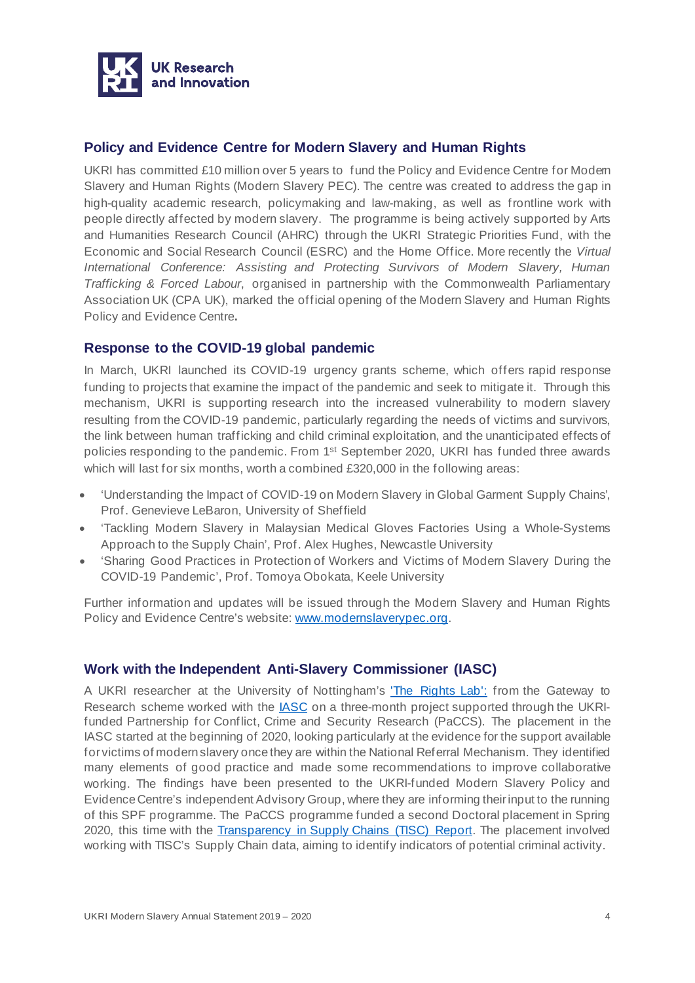

#### <span id="page-4-0"></span>**Policy and Evidence Centre for Modern Slavery and Human Rights**

UKRI has committed £10 million over 5 years to fund the Policy and Evidence Centre for Modem Slavery and Human Rights (Modern Slavery PEC). The centre was created to address the gap in high-quality academic research, policymaking and law-making, as well as frontline work with people directly affected by modern slavery. The programme is being actively supported by Arts and Humanities Research Council (AHRC) through the UKRI Strategic Priorities Fund, with the Economic and Social Research Council (ESRC) and the Home Office. More recently the *Virtual International Conference: Assisting and Protecting Survivors of Modern Slavery, Human Trafficking & Forced Labour*, organised in partnership with the Commonwealth Parliamentary Association UK (CPA UK), marked the official opening of the Modern Slavery and Human Rights Policy and Evidence Centre**.**

#### <span id="page-4-1"></span>**Response to the COVID-19 global pandemic**

In March, UKRI launched its COVID-19 urgency grants scheme, which offers rapid response funding to projects that examine the impact of the pandemic and seek to mitigate it. Through this mechanism, UKRI is supporting research into the increased vulnerability to modern slavery resulting from the COVID-19 pandemic, particularly regarding the needs of victims and survivors, the link between human trafficking and child criminal exploitation, and the unanticipated effects of policies responding to the pandemic. From 1<sup>st</sup> September 2020, UKRI has funded three awards which will last for six months, worth a combined £320,000 in the following areas:

- 'Understanding the Impact of COVID-19 on Modern Slavery in Global Garment Supply Chains', Prof. Genevieve LeBaron, University of Sheffield
- 'Tackling Modern Slavery in Malaysian Medical Gloves Factories Using a Whole-Systems Approach to the Supply Chain', Prof. Alex Hughes, Newcastle University
- 'Sharing Good Practices in Protection of Workers and Victims of Modern Slavery During the COVID-19 Pandemic', Prof. Tomoya Obokata, Keele University

Further information and updates will be issued through the Modern Slavery and Human Rights Policy and Evidence Centre's website: [www.modernslaverypec.org.](http://www.modernslaverypec.org/)

#### <span id="page-4-2"></span>**Work with the Independent Anti-Slavery Commissioner (IASC)**

A UKRI researcher at the University of Nottingham's ['The Rights Lab':](https://www.nottingham.ac.uk/research/beacons-of-excellence/rights-lab/index.aspx) from the Gateway to Research scheme worked with the **IASC** on a three-month project supported through the UKRIfunded Partnership for Conflict, Crime and Security Research (PaCCS). The placement in the IASC started at the beginning of 2020, looking particularly at the evidence for the support available for victims of modern slavery once they are within the National Referral Mechanism. They identified many elements of good practice and made some recommendations to improve collaborative working. The findings have been presented to the UKRI-funded Modern Slavery Policy and Evidence Centre's independent Advisory Group, where they are informing their input to the running of this SPF programme. The PaCCS programme funded a second Doctoral placement in Spring 2020, this time with the [Transparency in Supply Chains \(TISC\) Report.](https://www.paccsresearch.org.uk/news/yongyu-zeng-joins-paccs-and-the-tisc-report/) The placement involved working with TISC's Supply Chain data, aiming to identify indicators of potential criminal activity.